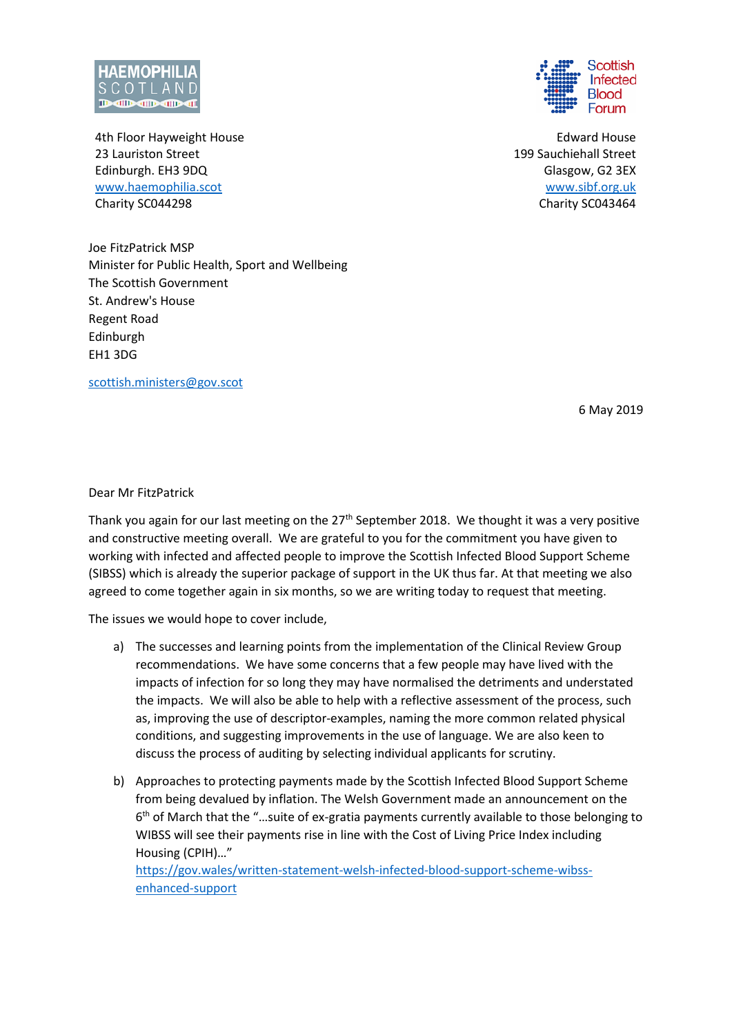

4th Floor Hayweight House 23 Lauriston Street Edinburgh. EH3 9DQ [www.haemophilia.scot](http://www.haemophilia.scot/) Charity SC044298

Joe FitzPatrick MSP Minister for Public Health, Sport and Wellbeing The Scottish Government St. Andrew's House Regent Road Edinburgh EH1 3DG

[scottish.ministers@gov.scot](mailto:scottish.ministers@gov.scot)

6 May 2019

Dear Mr FitzPatrick

Thank you again for our last meeting on the  $27<sup>th</sup>$  September 2018. We thought it was a very positive and constructive meeting overall. We are grateful to you for the commitment you have given to working with infected and affected people to improve the Scottish Infected Blood Support Scheme (SIBSS) which is already the superior package of support in the UK thus far. At that meeting we also agreed to come together again in six months, so we are writing today to request that meeting.

The issues we would hope to cover include,

- a) The successes and learning points from the implementation of the Clinical Review Group recommendations. We have some concerns that a few people may have lived with the impacts of infection for so long they may have normalised the detriments and understated the impacts. We will also be able to help with a reflective assessment of the process, such as, improving the use of descriptor-examples, naming the more common related physical conditions, and suggesting improvements in the use of language. We are also keen to discuss the process of auditing by selecting individual applicants for scrutiny.
- b) Approaches to protecting payments made by the Scottish Infected Blood Support Scheme from being devalued by inflation. The Welsh Government made an announcement on the 6<sup>th</sup> of March that the "...suite of ex-gratia payments currently available to those belonging to WIBSS will see their payments rise in line with the Cost of Living Price Index including Housing (CPIH)…" [https://gov.wales/written-statement-welsh-infected-blood-support-scheme-wibss](https://gov.wales/written-statement-welsh-infected-blood-support-scheme-wibss-enhanced-support)[enhanced-support](https://gov.wales/written-statement-welsh-infected-blood-support-scheme-wibss-enhanced-support)



Edward House 199 Sauchiehall Street Glasgow, G2 3EX [www.sibf.org.uk](http://www.sibf.org.uk/) Charity SC043464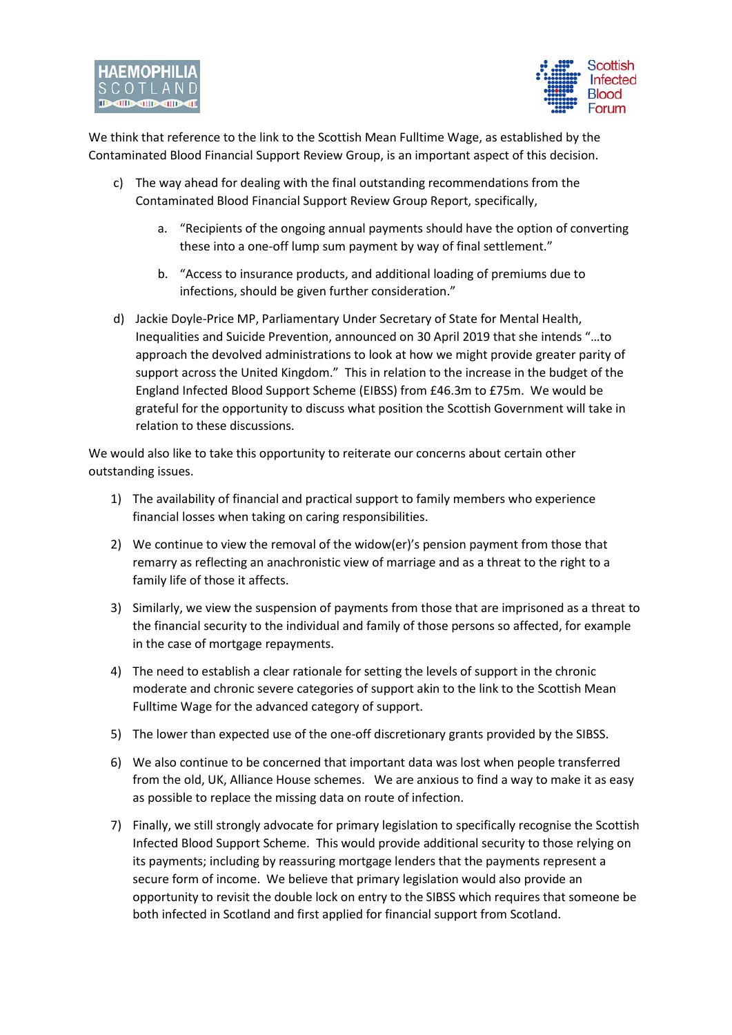

We think that reference to the link to the Scottish Mean Fulltime Wage, as established by the Contaminated Blood Financial Support Review Group, is an important aspect of this decision.

- c) The way ahead for dealing with the final outstanding recommendations from the Contaminated Blood Financial Support Review Group Report, specifically,
	- a. "Recipients of the ongoing annual payments should have the option of converting these into a one-off lump sum payment by way of final settlement."
	- b. "Access to insurance products, and additional loading of premiums due to infections, should be given further consideration."
- d) Jackie Doyle-Price MP, Parliamentary Under Secretary of State for Mental Health, Inequalities and Suicide Prevention, announced on 30 April 2019 that she intends "…to approach the devolved administrations to look at how we might provide greater parity of support across the United Kingdom." This in relation to the increase in the budget of the England Infected Blood Support Scheme (EIBSS) from £46.3m to £75m. We would be grateful for the opportunity to discuss what position the Scottish Government will take in relation to these discussions.

We would also like to take this opportunity to reiterate our concerns about certain other outstanding issues.

- 1) The availability of financial and practical support to family members who experience financial losses when taking on caring responsibilities.
- 2) We continue to view the removal of the widow(er)'s pension payment from those that remarry as reflecting an anachronistic view of marriage and as a threat to the right to a family life of those it affects.
- 3) Similarly, we view the suspension of payments from those that are imprisoned as a threat to the financial security to the individual and family of those persons so affected, for example in the case of mortgage repayments.
- 4) The need to establish a clear rationale for setting the levels of support in the chronic moderate and chronic severe categories of support akin to the link to the Scottish Mean Fulltime Wage for the advanced category of support.
- 5) The lower than expected use of the one-off discretionary grants provided by the SIBSS.
- 6) We also continue to be concerned that important data was lost when people transferred from the old, UK, Alliance House schemes. We are anxious to find a way to make it as easy as possible to replace the missing data on route of infection.
- 7) Finally, we still strongly advocate for primary legislation to specifically recognise the Scottish Infected Blood Support Scheme. This would provide additional security to those relying on its payments; including by reassuring mortgage lenders that the payments represent a secure form of income. We believe that primary legislation would also provide an opportunity to revisit the double lock on entry to the SIBSS which requires that someone be both infected in Scotland and first applied for financial support from Scotland.